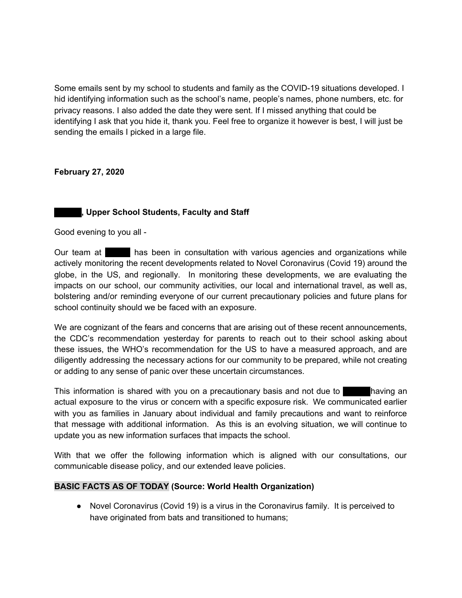Some emails sent by my school to students and family as the COVID-19 situations developed. I hid identifying information such as the school's name, people's names, phone numbers, etc. for privacy reasons. I also added the date they were sent. If I missed anything that could be identifying I ask that you hide it, thank you. Feel free to organize it however is best, I will just be sending the emails I picked in a large file.

## **February 27, 2020**

# **hidden, Upper School Students, Faculty and Staff**

Good evening to you all -

Our team at has been in consultation with various agencies and organizations while actively monitoring the recent developments related to Novel Coronavirus (Covid 19) around the globe, in the US, and regionally. In monitoring these developments, we are evaluating the impacts on our school, our community activities, our local and international travel, as well as, bolstering and/or reminding everyone of our current precautionary policies and future plans for school continuity should we be faced with an exposure.

We are cognizant of the fears and concerns that are arising out of these recent announcements, the CDC's recommendation yesterday for parents to reach out to their school asking about these issues, the WHO's recommendation for the US to have a measured approach, and are diligently addressing the necessary actions for our community to be prepared, while not creating or adding to any sense of panic over these uncertain circumstances.

This information is shared with you on a precautionary basis and not due to having an actual exposure to the virus or concern with a specific exposure risk. We communicated earlier with you as families in January about individual and family precautions and want to reinforce that message with additional information. As this is an evolving situation, we will continue to update you as new information surfaces that impacts the school.

With that we offer the following information which is aligned with our consultations, our communicable disease policy, and our extended leave policies.

## **BASIC FACTS AS OF TODAY (Source: World Health Organization)**

● Novel Coronavirus (Covid 19) is a virus in the Coronavirus family. It is perceived to have originated from bats and transitioned to humans;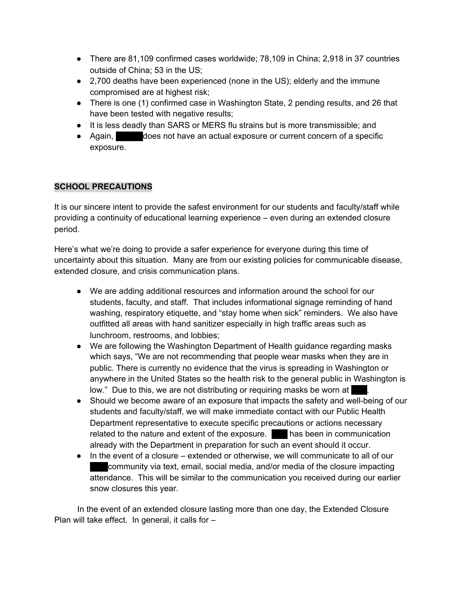- There are 81,109 confirmed cases worldwide; 78,109 in China; 2,918 in 37 countries outside of China; 53 in the US;
- 2,700 deaths have been experienced (none in the US); elderly and the immune compromised are at highest risk;
- There is one (1) confirmed case in Washington State, 2 pending results, and 26 that have been tested with negative results;
- It is less deadly than SARS or MERS flu strains but is more transmissible; and
- Again, does not have an actual exposure or current concern of a specific exposure.

# **SCHOOL PRECAUTIONS**

It is our sincere intent to provide the safest environment for our students and faculty/staff while providing a continuity of educational learning experience – even during an extended closure period.

Here's what we're doing to provide a safer experience for everyone during this time of uncertainty about this situation. Many are from our existing policies for communicable disease, extended closure, and crisis communication plans.

- We are adding additional resources and information around the school for our students, faculty, and staff. That includes informational signage reminding of hand washing, respiratory etiquette, and "stay home when sick" reminders. We also have outfitted all areas with hand sanitizer especially in high traffic areas such as lunchroom, restrooms, and lobbies;
- We are following the Washington Department of Health guidance regarding masks which says, "We are not recommending that people wear masks when they are in public. There is currently no evidence that the virus is spreading in Washington or anywhere in the United States so the health risk to the general public in Washington is low." Due to this, we are not distributing or requiring masks be worn at
- Should we become aware of an exposure that impacts the safety and well-being of our students and faculty/staff, we will make immediate contact with our Public Health Department representative to execute specific precautions or actions necessary related to the nature and extent of the exposure. has been in communication already with the Department in preparation for such an event should it occur.
- In the event of a closure extended or otherwise, we will communicate to all of our community via text, email, social media, and/or media of the closure impacting attendance. This will be similar to the communication you received during our earlier snow closures this year.

In the event of an extended closure lasting more than one day, the Extended Closure Plan will take effect. In general, it calls for –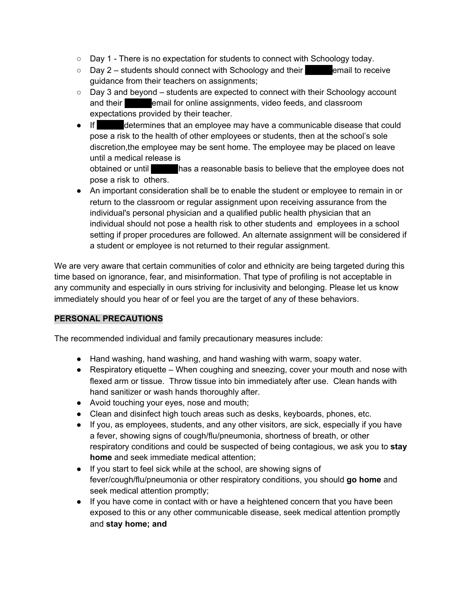- Day 1 There is no expectation for students to connect with Schoology today.
- $\circ$  Day 2 students should connect with Schoology and their email to receive guidance from their teachers on assignments;
- Day 3 and beyond students are expected to connect with their Schoology account and their **highen email for online assignments**, video feeds, and classroom expectations provided by their teacher.
- If determines that an employee may have a communicable disease that could pose a risk to the health of other employees or students, then at the school's sole discretion,the employee may be sent home. The employee may be placed on leave until a medical release is obtained or until has a reasonable basis to believe that the employee does not

pose a risk to others.

● An important consideration shall be to enable the student or employee to remain in or return to the classroom or regular assignment upon receiving assurance from the individual's personal physician and a qualified public health physician that an individual should not pose a health risk to other students and employees in a school setting if proper procedures are followed. An alternate assignment will be considered if a student or employee is not returned to their regular assignment.

We are very aware that certain communities of color and ethnicity are being targeted during this time based on ignorance, fear, and misinformation. That type of profiling is not acceptable in any community and especially in ours striving for inclusivity and belonging. Please let us know immediately should you hear of or feel you are the target of any of these behaviors.

# **PERSONAL PRECAUTIONS**

The recommended individual and family precautionary measures include:

- Hand washing, hand washing, and hand washing with warm, soapy water.
- Respiratory etiquette When coughing and sneezing, cover your mouth and nose with flexed arm or tissue. Throw tissue into bin immediately after use. Clean hands with hand sanitizer or wash hands thoroughly after.
- Avoid touching your eyes, nose and mouth;
- Clean and disinfect high touch areas such as desks, keyboards, phones, etc.
- If you, as employees, students, and any other visitors, are sick, especially if you have a fever, showing signs of cough/flu/pneumonia, shortness of breath, or other respiratory conditions and could be suspected of being contagious, we ask you to **stay home** and seek immediate medical attention;
- If you start to feel sick while at the school, are showing signs of fever/cough/flu/pneumonia or other respiratory conditions, you should **go home** and seek medical attention promptly;
- If you have come in contact with or have a heightened concern that you have been exposed to this or any other communicable disease, seek medical attention promptly and **stay home; and**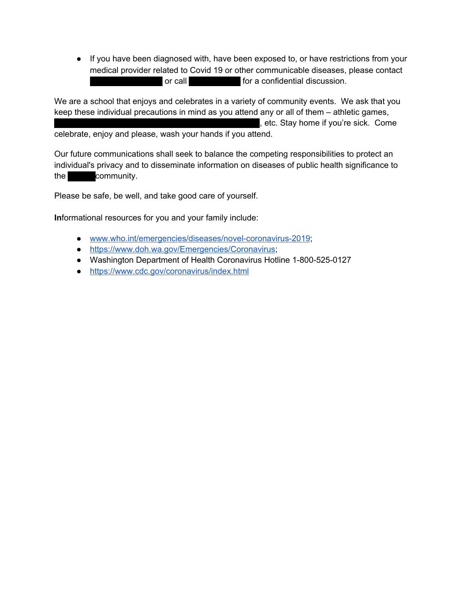● If you have been diagnosed with, have been exposed to, or have restrictions from your medical provider related to Covid 19 or other communicable diseases, please contact or call **phonenumer for a confidential discussion.** 

We are a school that enjoys and celebrates in a variety of community events. We ask that you keep these individual precautions in mind as you attend any or all of them – athletic games, , etc. Stay home if you're sick. Come celebrate, enjoy and please, wash your hands if you attend.

Our future communications shall seek to balance the competing responsibilities to protect an individual's privacy and to disseminate information on diseases of public health significance to the community.

Please be safe, be well, and take good care of yourself.

**In**formational resources for you and your family include:

- [www.who.int/emergencies/diseases/novel-coronavirus-2019](http://www.who.int/emergencies/diseases/novel-coronavirus-2019.com);
- <https://www.doh.wa.gov/Emergencies/Coronavirus>;
- Washington Department of Health Coronavirus Hotline 1-800-525-0127
- <https://www.cdc.gov/coronavirus/index.html>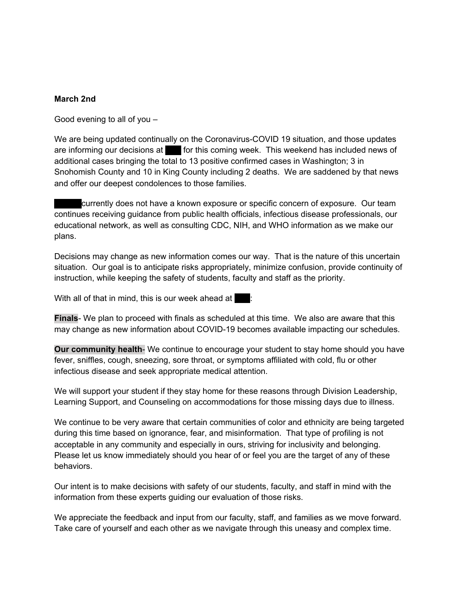## **March 2nd**

Good evening to all of you –

We are being updated continually on the Coronavirus-COVID 19 situation, and those updates are informing our decisions at heat for this coming week. This weekend has included news of additional cases bringing the total to 13 positive confirmed cases in Washington; 3 in Snohomish County and 10 in King County including 2 deaths. We are saddened by that news and offer our deepest condolences to those families.

currently does not have a known exposure or specific concern of exposure. Our team continues receiving guidance from public health officials, infectious disease professionals, our educational network, as well as consulting CDC, NIH, and WHO information as we make our plans.

Decisions may change as new information comes our way. That is the nature of this uncertain situation. Our goal is to anticipate risks appropriately, minimize confusion, provide continuity of instruction, while keeping the safety of students, faculty and staff as the priority.

With all of that in mind, this is our week ahead at  $\blacksquare$ :

**Finals**- We plan to proceed with finals as scheduled at this time. We also are aware that this may change as new information about COVID-19 becomes available impacting our schedules.

**Our community health**- We continue to encourage your student to stay home should you have fever, sniffles, cough, sneezing, sore throat, or symptoms affiliated with cold, flu or other infectious disease and seek appropriate medical attention.

We will support your student if they stay home for these reasons through Division Leadership, Learning Support, and Counseling on accommodations for those missing days due to illness.

We continue to be very aware that certain communities of color and ethnicity are being targeted during this time based on ignorance, fear, and misinformation. That type of profiling is not acceptable in any community and especially in ours, striving for inclusivity and belonging. Please let us know immediately should you hear of or feel you are the target of any of these behaviors.

Our intent is to make decisions with safety of our students, faculty, and staff in mind with the information from these experts guiding our evaluation of those risks.

We appreciate the feedback and input from our faculty, staff, and families as we move forward. Take care of yourself and each other as we navigate through this uneasy and complex time.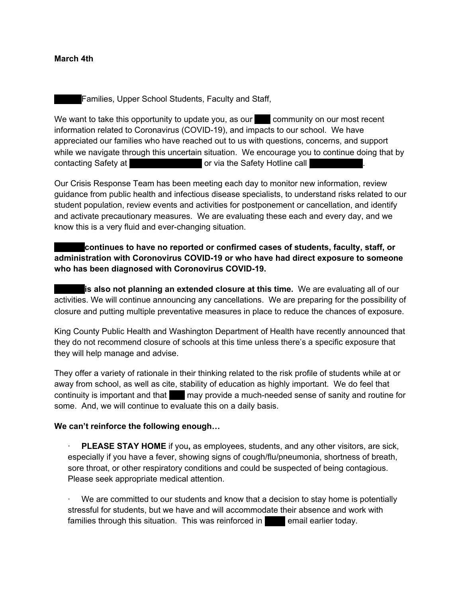### **March 4th**

Families, Upper School Students, Faculty and Staff,

We want to take this opportunity to update you, as our  $\Box$  community on our most recent information related to Coronavirus (COVID-19), and impacts to our school. We have appreciated our families who have reached out to us with questions, concerns, and support while we navigate through this uncertain situation. We encourage you to continue doing that by contacting Safety at **higheral contacting Safety at hidden.** Or via the Safety Hotline call

Our Crisis Response Team has been meeting each day to monitor new information, review guidance from public health and infectious disease specialists, to understand risks related to our student population, review events and activities for postponement or cancellation, and identify and activate precautionary measures. We are evaluating these each and every day, and we know this is a very fluid and ever-changing situation.

**Hidden continues to have no reported or confirmed cases of students, faculty, staff, or administration with Coronovirus COVID-19 or who have had direct exposure to someone who has been diagnosed with Coronovirus COVID-19.**

**is also not planning an extended closure at this time.** We are evaluating all of our activities. We will continue announcing any cancellations. We are preparing for the possibility of closure and putting multiple preventative measures in place to reduce the chances of exposure.

King County Public Health and Washington Department of Health have recently announced that they do not recommend closure of schools at this time unless there's a specific exposure that they will help manage and advise.

They offer a variety of rationale in their thinking related to the risk profile of students while at or away from school, as well as cite, stability of education as highly important. We do feel that continuity is important and that higher may provide a much-needed sense of sanity and routine for some. And, we will continue to evaluate this on a daily basis.

### **We can't reinforce the following enough…**

· **PLEASE STAY HOME** if you**,** as employees, students, and any other visitors, are sick, especially if you have a fever, showing signs of cough/flu/pneumonia, shortness of breath, sore throat, or other respiratory conditions and could be suspected of being contagious. Please seek appropriate medical attention.

We are committed to our students and know that a decision to stay home is potentially stressful for students, but we have and will accommodate their absence and work with families through this situation. This was reinforced in  $\Box$  email earlier today.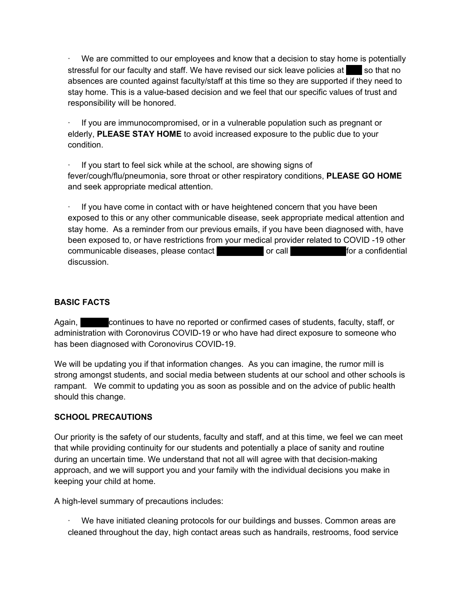We are committed to our employees and know that a decision to stay home is potentially stressful for our faculty and staff. We have revised our sick leave policies at his so that no absences are counted against faculty/staff at this time so they are supported if they need to stay home. This is a value-based decision and we feel that our specific values of trust and responsibility will be honored.

· If you are immunocompromised, or in a vulnerable population such as pregnant or elderly, **PLEASE STAY HOME** to avoid increased exposure to the public due to your condition.

If you start to feel sick while at the school, are showing signs of fever/cough/flu/pneumonia, sore throat or other respiratory conditions, **PLEASE GO HOME** and seek appropriate medical attention.

If you have come in contact with or have heightened concern that you have been exposed to this or any other communicable disease, seek appropriate medical attention and stay home. As a reminder from our previous emails, if you have been diagnosed with, have been exposed to, or have restrictions from your medical provider related to COVID -19 other communicable diseases, please contact enable or call emails or call phone number for a confidential discussion.

# **BASIC FACTS**

Again, extending continues to have no reported or confirmed cases of students, faculty, staff, or administration with Coronovirus COVID-19 or who have had direct exposure to someone who has been diagnosed with Coronovirus COVID-19.

We will be updating you if that information changes. As you can imagine, the rumor mill is strong amongst students, and social media between students at our school and other schools is rampant. We commit to updating you as soon as possible and on the advice of public health should this change.

# **SCHOOL PRECAUTIONS**

Our priority is the safety of our students, faculty and staff, and at this time, we feel we can meet that while providing continuity for our students and potentially a place of sanity and routine during an uncertain time. We understand that not all will agree with that decision-making approach, and we will support you and your family with the individual decisions you make in keeping your child at home.

A high-level summary of precautions includes:

· We have initiated cleaning protocols for our buildings and busses. Common areas are cleaned throughout the day, high contact areas such as handrails, restrooms, food service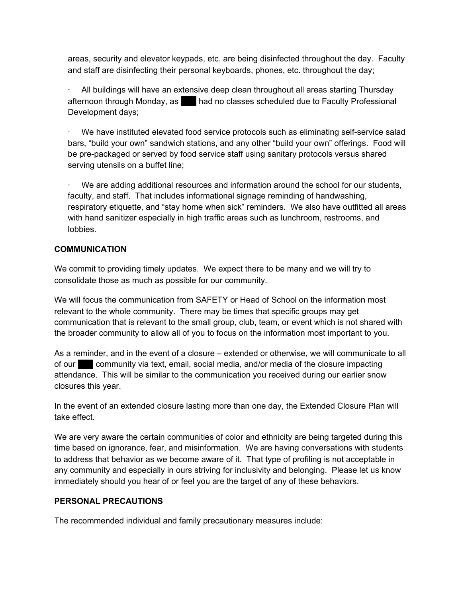areas, security and elevator keypads, etc. are being disinfected throughout the day. Faculty and staff are disinfecting their personal keyboards, phones, etc. throughout the day;

· All buildings will have an extensive deep clean throughout all areas starting Thursday afternoon through Monday, as had no classes scheduled due to Faculty Professional Development days;

We have instituted elevated food service protocols such as eliminating self-service salad bars, "build your own" sandwich stations, and any other "build your own" offerings. Food will be pre-packaged or served by food service staff using sanitary protocols versus shared serving utensils on a buffet line;

We are adding additional resources and information around the school for our students, faculty, and staff. That includes informational signage reminding of handwashing, respiratory etiquette, and "stay home when sick" reminders. We also have outfitted all areas with hand sanitizer especially in high traffic areas such as lunchroom, restrooms, and lobbies.

# **COMMUNICATION**

We commit to providing timely updates. We expect there to be many and we will try to consolidate those as much as possible for our community.

We will focus the communication from SAFETY or Head of School on the information most relevant to the whole community. There may be times that specific groups may get communication that is relevant to the small group, club, team, or event which is not shared with the broader community to allow all of you to focus on the information most important to you.

As a reminder, and in the event of a closure – extended or otherwise, we will communicate to all of our hide community via text, email, social media, and/or media of the closure impacting attendance. This will be similar to the communication you received during our earlier snow closures this year.

In the event of an extended closure lasting more than one day, th[e](https://resources.finalsite.net/images/v1578713914/seattleacademyorg/o9dpymeffw5opqwkqgbo/SeattleAcademy_ExtendedForFaculty.pdf) Extended Closure Plan will take effect.

We are very aware the certain communities of color and ethnicity are being targeted during this time based on ignorance, fear, and misinformation. We are having conversations with students to address that behavior as we become aware of it. That type of profiling is not acceptable in any community and especially in ours striving for inclusivity and belonging. Please let us know immediately should you hear of or feel you are the target of any of these behaviors.

# **PERSONAL PRECAUTIONS**

The recommended individual and family precautionary measures include: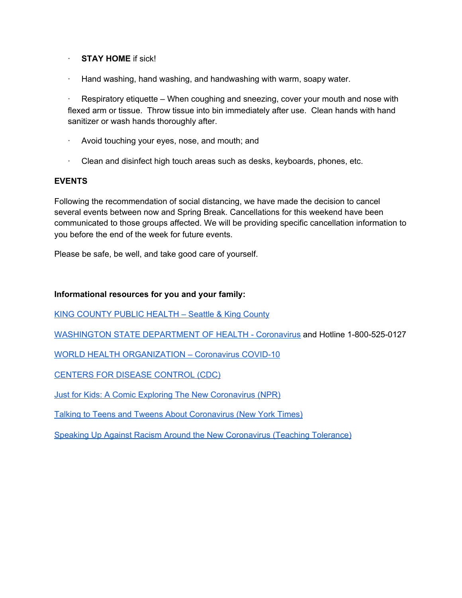## · **STAY HOME** if sick!

Hand washing, hand washing, and handwashing with warm, soapy water.

Respiratory etiquette – When coughing and sneezing, cover your mouth and nose with flexed arm or tissue. Throw tissue into bin immediately after use. Clean hands with hand sanitizer or wash hands thoroughly after.

- · Avoid touching your eyes, nose, and mouth; and
- · Clean and disinfect high touch areas such as desks, keyboards, phones, etc.

## **EVENTS**

Following the recommendation of social distancing, we have made the decision to cancel several events between now and Spring Break. Cancellations for this weekend have been communicated to those groups affected. We will be providing specific cancellation information to you before the end of the week for future events.

Please be safe, be well, and take good care of yourself.

## **Informational resources for you and your family:**

KING [COUNTY](https://kingcounty.gov/depts/health/communicable-diseases/disease-control/novel-coronavirus.aspx) PUBLIC HEALTH – Seattle & King County

[WASHINGTON](https://www.doh.wa.gov/Emergencies/Coronavirus) STATE DEPARTMENT OF HEALTH - Coronavirus and Hotline 1-800-525-0127

WORLD HEALTH [ORGANIZATION](https://www.who.int/emergencies/diseases/novel-coronavirus-2019) – Coronavirus COVID-10

CENTERS FOR DISEASE [CONTROL](https://www.cdc.gov/coronavirus/index.html) (CDC)

Just for Kids: A Comic Exploring The New [Coronavirus](https://www.npr.org/sections/goatsandsoda/2020/02/28/809580453/just-for-kids-a-comic-exploring-the-new-coronavirus?utm_source=newsletter&utm_medium=email&utm_content=this%20downloadable%20comic&utm_campaign=Weekly-03-03-20%20%20) (NPR)

Talking to Teens and Tweens About [Coronavirus](https://www.nytimes.com/2020/03/02/well/family/coronavirus-teenagers-anxiety.html%20%20https:/childmind.org/article/talking-to-kids-about-the-coronavirus/) (New York Times)

Speaking Up Against Racism Around the New [Coronavirus](https://www.tolerance.org/magazine/speaking-up-against-racism-around-the-new-coronavirus) (Teaching Tolerance)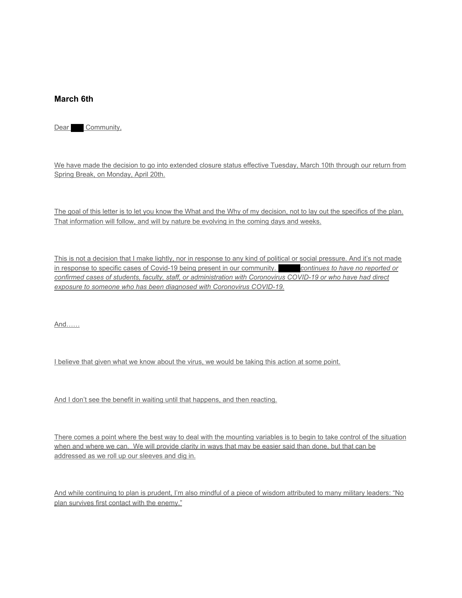### **March 6th**

Dear Community,

We have made the decision to go into extended closure status effective Tuesday, March 10th through our return from Spring Break, on Monday, April 20th.

The goal of this letter is to let you know the What and the Why of my decision, not to lay out the specifics of the plan. That information will follow, and will by nature be evolving in the coming days and weeks.

This is not a decision that I make lightly, nor in response to any kind of political or social pressure. And it's not made in response to specific cases of Covid-19 being present in our community. continues to have no reported or *confirmed cases of students, faculty, staff, or administration with Coronovirus COVID-19 or who have had direct exposure to someone who has been diagnosed with Coronovirus COVID-19.*

And……

I believe that given what we know about the virus, we would be taking this action at some point.

And I don't see the benefit in waiting until that happens, and then reacting.

There comes a point where the best way to deal with the mounting variables is to begin to take control of the situation when and where we can. We will provide clarity in ways that may be easier said than done, but that can be addressed as we roll up our sleeves and dig in.

And while continuing to plan is prudent, I'm also mindful of a piece of wisdom attributed to many military leaders: "No plan survives first contact with the enemy."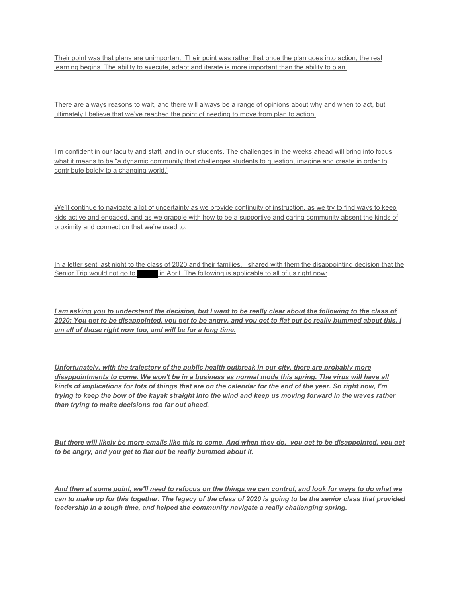Their point was that plans are unimportant. Their point was rather that once the plan goes into action, the real learning begins. The ability to execute, adapt and iterate is more important than the ability to plan.

There are always reasons to wait, and there will always be a range of opinions about why and when to act, but ultimately I believe that we've reached the point of needing to move from plan to action.

I'm confident in our faculty and staff, and in our students. The challenges in the weeks ahead will bring into focus what it means to be "a dynamic community that challenges students to question, imagine and create in order to contribute boldly to a changing world."

We'll continue to navigate a lot of uncertainty as we provide continuity of instruction, as we try to find ways to keep kids active and engaged, and as we grapple with how to be a supportive and caring community absent the kinds of proximity and connection that we're used to.

In a letter sent last night to the class of 2020 and their families, I shared with them the disappointing decision that the Senior Trip would not go to high in April. The following is applicable to all of us right now:

*I am asking you to understand the decision, but I want to be really clear about the following to the class of 2020: You get to be disappointed, you get to be angry, and you get to flat out be really bummed about this. I am all of those right now too, and will be for a long time.*

*Unfortunately, with the trajectory of the public health outbreak in our city, there are probably more disappointments to come. We won't be in a business as normal mode this spring. The virus will have all kinds of implications for lots of things that are on the calendar for the end of the year. So right now, I'm trying to keep the bow of the kayak straight into the wind and keep us moving forward in the waves rather than trying to make decisions too far out ahead.*

*But there will likely be more emails like this to come. And when they do, you get to be disappointed, you get to be angry, and you get to flat out be really bummed about it.*

*And then at some point, we'll need to refocus on the things we can control, and look for ways to do what we can to make up for this together. The legacy of the class of 2020 is going to be the senior class that provided leadership in a tough time, and helped the community navigate a really challenging spring.*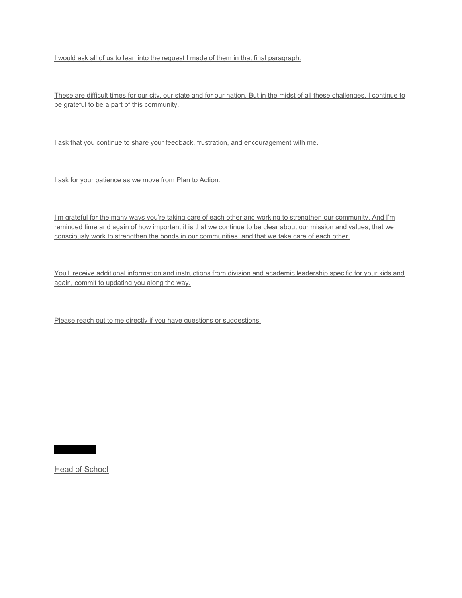I would ask all of us to lean into the request I made of them in that final paragraph.

These are difficult times for our city, our state and for our nation. But in the midst of all these challenges, I continue to be grateful to be a part of this community.

I ask that you continue to share your feedback, frustration, and encouragement with me.

I ask for your patience as we move from Plan to Action.

I'm grateful for the many ways you're taking care of each other and working to strengthen our community. And I'm reminded time and again of how important it is that we continue to be clear about our mission and values, that we consciously work to strengthen the bonds in our communities, and that we take care of each other.

You'll receive additional information and instructions from division and academic leadership specific for your kids and again, commit to updating you along the way.

Please reach out to me directly if you have questions or suggestions.

Head of School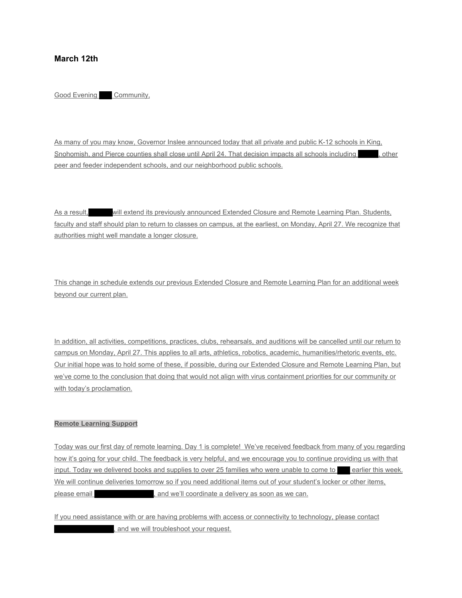### **March 12th**

Good Evening Community,

As many of you may know, Governor Inslee announced today that all private and public K-12 schools in King, Snohomish, and Pierce counties shall close until April 24. That decision impacts all schools including equation peer and feeder independent schools, and our neighborhood public schools.

As a result, will extend its previously announced Extended Closure and Remote Learning Plan. Students, faculty and staff should plan to return to classes on campus, at the earliest, on Monday, April 27. We recognize that authorities might well mandate a longer closure.

This change in schedule extends our previous Extended Closure and Remote Learning Plan for an additional week beyond our current plan.

In addition, all activities, competitions, practices, clubs, rehearsals, and auditions will be cancelled until our return to campus on Monday, April 27. This applies to all arts, athletics, robotics, academic, humanities/rhetoric events, etc. Our initial hope was to hold some of these, if possible, during our Extended Closure and Remote Learning Plan, but we've come to the conclusion that doing that would not align with virus containment priorities for our community or with today's proclamation.

#### **Remote Learning Support**

Today was our first day of remote learning. Day 1 is complete! We've received feedback from many of you regarding how it's going for your child. The feedback is very helpful, and we encourage you to continue providing us with that input. Today we delivered books and supplies to over 25 families who were unable to come to earlier this week. We will continue deliveries tomorrow so if you need additional items out of your student's locker or other items, please email **hidden**, and we'll coordinate a delivery as soon as we can.

If you need assistance with or are having problems with access or connectivity to technology, please contact , and we will troubleshoot your request.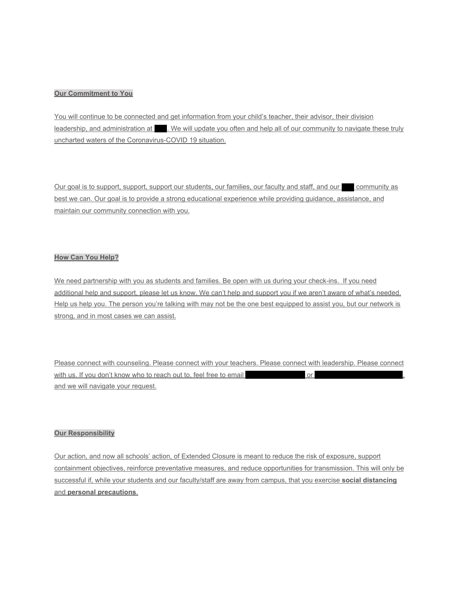#### **Our Commitment to You**

You will continue to be connected and get information from your child's teacher, their advisor, their division leadership, and administration at we will update you often and help all of our community to navigate these truly uncharted waters of the Coronavirus-COVID 19 situation.

Our goal is to support, support, support our students, our families, our faculty and staff, and our community as best we can. Our goal is to provide a strong educational experience while providing guidance, assistance, and maintain our community connection with you.

#### **How Can You Help?**

We need partnership with you as students and families. Be open with us during your check-ins. If you need additional help and support, please let us know. We can't help and support you if we aren't aware of what's needed. Help us help you. The person you're talking with may not be the one best equipped to assist you, but our network is strong, and in most cases we can assist.

Please connect with counseling. Please connect with your teachers. Please connect with leadership. Please connect with us. If you don't know who to reach out to, feel free to email  $\qquad \qquad$  or and we will navigate your request.

#### **Our Responsibility**

Our action, and now all schools' action, of Extended Closure is meant to reduce the risk of exposure, support containment objectives, reinforce preventative measures, and reduce opportunities for transmission. This will only be successful if, while your students and our faculty/staff are away from campus, that you exercise **social distancing** and **personal precautions**.